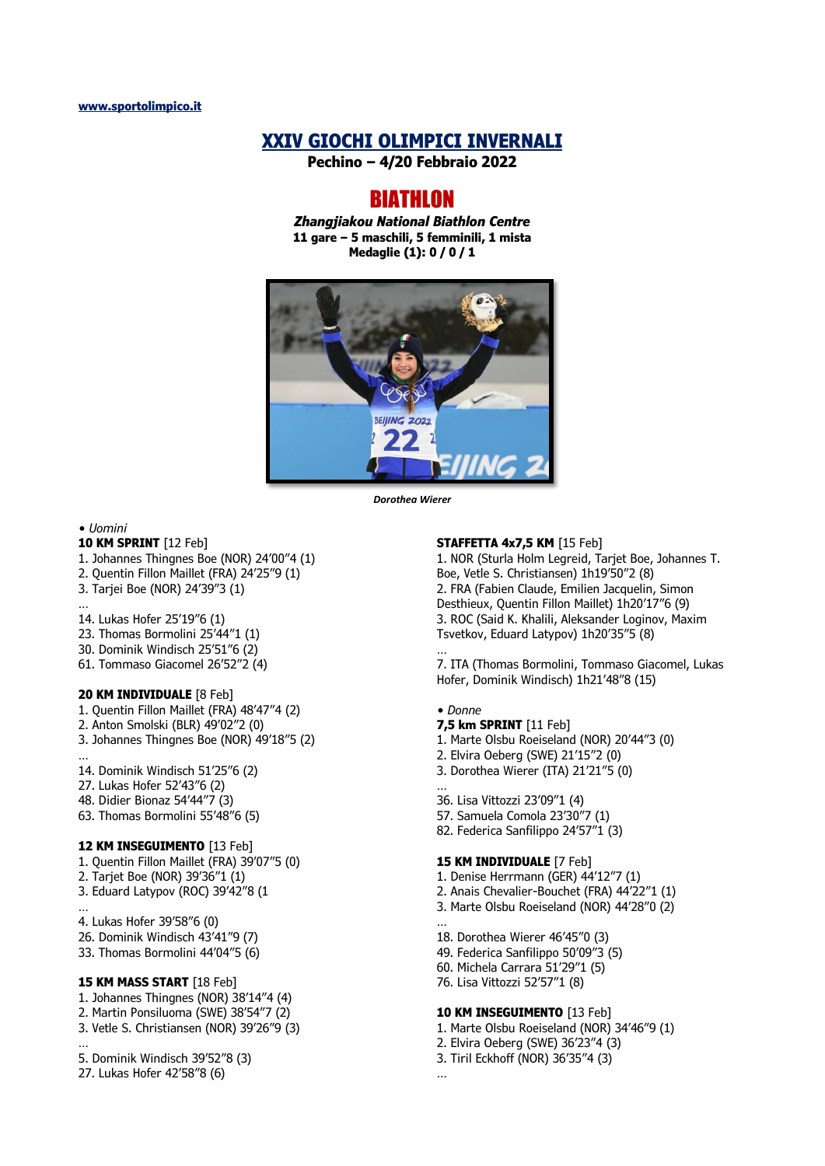# **XXIV GIOCHI OLIMPICI INVERNALI**

**Pechino – 4/20 Febbraio 2022**

# **BIATHLON**

*Zhangjiakou National Biathlon Centre* **11 gare – 5 maschili, 5 femminili, 1 mista Medaglie (1): 0 / 0 / 1**



*Dorothea Wierer*

*• Uomini*

…

…

…

# **10 KM SPRINT** [12 Feb]

- 1. Johannes Thingnes Boe (NOR) 24'00"4 (1)
- 2. Quentin Fillon Maillet (FRA) 24'25"9 (1)
- 3. Tarjei Boe (NOR) 24'39"3 (1)

### 14. Lukas Hofer 25'19"6 (1)

- 23. Thomas Bormolini 25'44"1 (1)
- 30. Dominik Windisch 25'51"6 (2)
- 61. Tommaso Giacomel 26'52"2 (4)

### **20 KM INDIVIDUALE** [8 Feb]

- 1. Quentin Fillon Maillet (FRA) 48'47"4 (2)
- 2. Anton Smolski (BLR) 49'02"2 (0)
- 3. Johannes Thingnes Boe (NOR) 49'18"5 (2)
- 14. Dominik Windisch 51'25"6 (2)
- 27. Lukas Hofer 52'43"6 (2)
- 48. Didier Bionaz 54'44"7 (3)
- 63. Thomas Bormolini 55'48"6 (5)

### **12 KM INSEGUIMENTO** [13 Feb]

- 1. Quentin Fillon Maillet (FRA) 39'07"5 (0) 2. Tarjet Boe (NOR) 39'36"1 (1) 3. Eduard Latypov (ROC) 39'42"8 (1
- …
- 4. Lukas Hofer 39'58"6 (0)
- 26. Dominik Windisch 43'41"9 (7)
- 33. Thomas Bormolini 44'04"5 (6)

### **15 KM MASS START** [18 Feb]

- 1. Johannes Thingnes (NOR) 38'14"4 (4)
- 2. Martin Ponsiluoma (SWE) 38'54"7 (2)
- 3. Vetle S. Christiansen (NOR) 39'26"9 (3)

#### 5. Dominik Windisch 39'52"8 (3)

27. Lukas Hofer 42'58"8 (6)

### **STAFFETTA 4x7,5 KM** [15 Feb]

1. NOR (Sturla Holm Legreid, Tarjet Boe, Johannes T. Boe, Vetle S. Christiansen) 1h19'50"2 (8) 2. FRA (Fabien Claude, Emilien Jacquelin, Simon Desthieux, Quentin Fillon Maillet) 1h20'17"6 (9) 3. ROC (Said K. Khalili, Aleksander Loginov, Maxim Tsvetkov, Eduard Latypov) 1h20'35"5 (8)

7. ITA (Thomas Bormolini, Tommaso Giacomel, Lukas Hofer, Dominik Windisch) 1h21'48"8 (15)

#### *• Donne*

…

- **7,5 km SPRINT** [11 Feb]
- 1. Marte Olsbu Roeiseland (NOR) 20'44"3 (0)
- 2. Elvira Oeberg (SWE) 21'15"2 (0)
- 3. Dorothea Wierer (ITA) 21'21"5 (0)
- … 36. Lisa Vittozzi 23'09"1 (4)
- 57. Samuela Comola 23'30"7 (1)
- 82. Federica Sanfilippo 24'57"1 (3)

### **15 KM INDIVIDUALE** [7 Feb]

1. Denise Herrmann (GER) 44'12"7 (1)

- 2. Anais Chevalier-Bouchet (FRA) 44'22"1 (1)
- 3. Marte Olsbu Roeiseland (NOR) 44'28"0 (2) …
- 18. Dorothea Wierer 46'45"0 (3)
- 49. Federica Sanfilippo 50'09"3 (5)
- 60. Michela Carrara 51'29"1 (5)
- 76. Lisa Vittozzi 52'57"1 (8)

### **10 KM INSEGUIMENTO** [13 Feb]

- 1. Marte Olsbu Roeiseland (NOR) 34'46"9 (1)
- 2. Elvira Oeberg (SWE) 36'23"4 (3)
- 3. Tiril Eckhoff (NOR) 36'35"4 (3)
- …